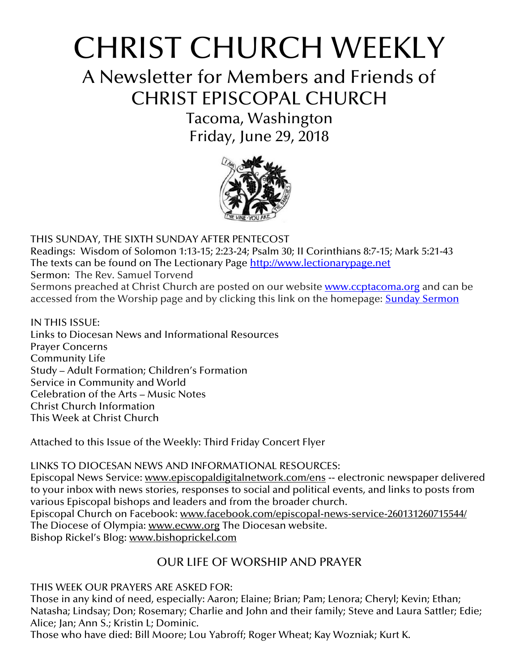# CHRIST CHURCH WEEKLY

A Newsletter for Members and Friends of CHRIST EPISCOPAL CHURCH

> Tacoma, Washington Friday, June 29, 2018



THIS SUNDAY, THE SIXTH SUNDAY AFTER PENTECOST Readings: Wisdom of Solomon 1:13-15; 2:23-24; Psalm 30; II Corinthians 8:7-15; Mark 5:21-43 The texts can be found on The Lectionary Page [http://www.lectionarypage.net](http://www.lectionarypage.net/) Sermon: The Rev. Samuel Torvend Sermons preached at Christ Church are posted on our website **[www.ccptacoma.org](http://www.ccptacoma.org/)** and can be accessed from the Worship page and by clicking this link on the homepage: Sunday [Sermon](http://www.ccptacoma.org/article/43/worship/sermons)

IN THIS ISSUE: Links to Diocesan News and Informational Resources Prayer Concerns Community Life Study – Adult Formation; Children's Formation Service in Community and World Celebration of the Arts – Music Notes Christ Church Information This Week at Christ Church

Attached to this Issue of the Weekly: Third Friday Concert Flyer

LINKS TO DIOCESAN NEWS AND INFORMATIONAL RESOURCES:

Episcopal News Service: [www.episcopaldigitalnetwork.com/ens](http://www.episcopaldigitalnetwork.com/ens) -- electronic newspaper delivered to your inbox with news stories, responses to social and political events, and links to posts from various Episcopal bishops and leaders and from the broader church. Episcopal Church on Facebook: [www.facebook.com/episcopal-news-service-260131260715544/](http://www.facebook.com/episcopal-news-service-260131260715544/) The Diocese of Olympia: [www.ecww.org](http://www.ecww.org/) The Diocesan website. Bishop Rickel's Blog: [www.bishoprickel.com](http://www.bishoprickel.com/)

## OUR LIFE OF WORSHIP AND PRAYER

## THIS WEEK OUR PRAYERS ARE ASKED FOR:

Those in any kind of need, especially: Aaron; Elaine; Brian; Pam; Lenora; Cheryl; Kevin; Ethan; Natasha; Lindsay; Don; Rosemary; Charlie and John and their family; Steve and Laura Sattler; Edie; Alice; Jan; Ann S.; Kristin L; Dominic.

Those who have died: Bill Moore; Lou Yabroff; Roger Wheat; Kay Wozniak; Kurt K.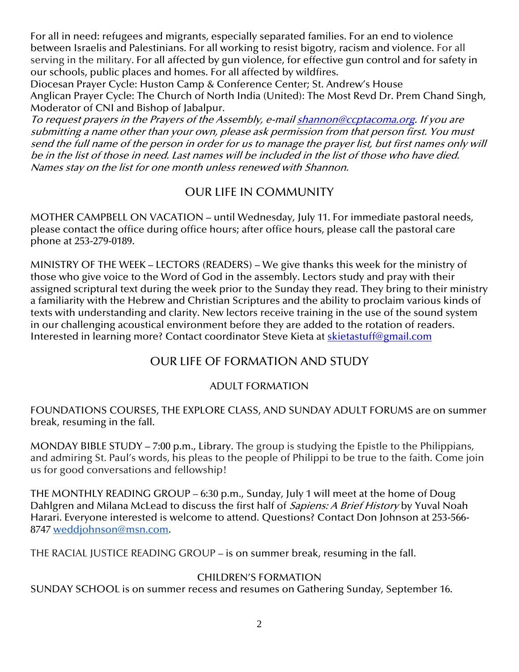For all in need: refugees and migrants, especially separated families. For an end to violence between Israelis and Palestinians. For all working to resist bigotry, racism and violence. For all serving in the military. For all affected by gun violence, for effective gun control and for safety in our schools, public places and homes. For all affected by wildfires.

Diocesan Prayer Cycle: Huston Camp & Conference Center; St. Andrew's House Anglican Prayer Cycle: The Church of North India (United): The Most Revd Dr. Prem Chand Singh, Moderator of CNI and Bishop of Jabalpur.

To request prayers in the Prayers of the Assembly, e-mai[l shannon@ccptacoma.org.](mailto:shannon@ccptacoma.org) If you are submitting a name other than your own, please ask permission from that person first. You must send the full name of the person in order for us to manage the prayer list, but first names only will be in the list of those in need. Last names will be included in the list of those who have died. Names stay on the list for one month unless renewed with Shannon.

## OUR LIFE IN COMMUNITY

MOTHER CAMPBELL ON VACATION – until Wednesday, July 11. For immediate pastoral needs, please contact the office during office hours; after office hours, please call the pastoral care phone at 253-279-0189.

MINISTRY OF THE WEEK – LECTORS (READERS) – We give thanks this week for the ministry of those who give voice to the Word of God in the assembly. Lectors study and pray with their assigned scriptural text during the week prior to the Sunday they read. They bring to their ministry a familiarity with the Hebrew and Christian Scriptures and the ability to proclaim various kinds of texts with understanding and clarity. New lectors receive training in the use of the sound system in our challenging acoustical environment before they are added to the rotation of readers. Interested in learning more? Contact coordinator Steve Kieta at **skietastuff@gmail.com** 

## OUR LIFE OF FORMATION AND STUDY

#### ADULT FORMATION

FOUNDATIONS COURSES, THE EXPLORE CLASS, AND SUNDAY ADULT FORUMS are on summer break, resuming in the fall.

MONDAY BIBLE STUDY – 7:00 p.m., Library. The group is studying the Epistle to the Philippians, and admiring St. Paul's words, his pleas to the people of Philippi to be true to the faith. Come join us for good conversations and fellowship!

THE MONTHLY READING GROUP – 6:30 p.m., Sunday, July 1 will meet at the home of Doug Dahlgren and Milana McLead to discuss the first half of *Sapiens: A Brief History* by Yuval Noah Harari. Everyone interested is welcome to attend. Questions? Contact Don Johnson at 253-566- 8747 [weddjohnson@msn.com.](mailto:weddjohnson@msn.com)

THE RACIAL JUSTICE READING GROUP – is on summer break, resuming in the fall.

#### CHILDREN'S FORMATION

SUNDAY SCHOOL is on summer recess and resumes on Gathering Sunday, September 16.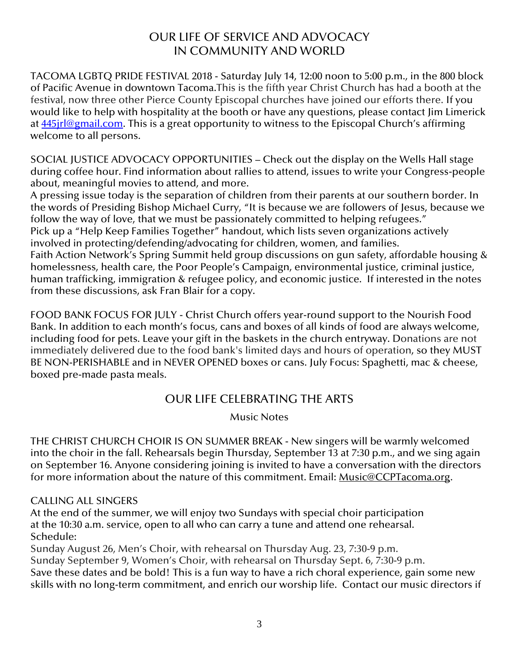## OUR LIFE OF SERVICE AND ADVOCACY IN COMMUNITY AND WORLD

TACOMA LGBTQ PRIDE FESTIVAL 2018 - Saturday July 14, 12:00 noon to 5:00 p.m., in the 800 block of Pacific Avenue in downtown Tacoma.This is the fifth year Christ Church has had a booth at the festival, now three other Pierce County Episcopal churches have joined our efforts there. If you would like to help with hospitality at the booth or have any questions, please contact Jim Limerick at **445** irl@gmail.com. This is a great opportunity to witness to the Episcopal Church's affirming welcome to all persons.

SOCIAL JUSTICE ADVOCACY OPPORTUNITIES – Check out the display on the Wells Hall stage during coffee hour. Find information about rallies to attend, issues to write your Congress-people about, meaningful movies to attend, and more.

A pressing issue today is the separation of children from their parents at our southern border. In the words of Presiding Bishop Michael Curry, "It is because we are followers of Jesus, because we follow the way of love, that we must be passionately committed to helping refugees."

Pick up a "Help Keep Families Together" handout, which lists seven organizations actively involved in protecting/defending/advocating for children, women, and families.

Faith Action Network's Spring Summit held group discussions on gun safety, affordable housing & homelessness, health care, the Poor People's Campaign, environmental justice, criminal justice, human trafficking, immigration & refugee policy, and economic justice. If interested in the notes from these discussions, ask Fran Blair for a copy.

FOOD BANK FOCUS FOR JULY - Christ Church offers year-round support to the Nourish Food Bank. In addition to each month's focus, cans and boxes of all kinds of food are always welcome, including food for pets. Leave your gift in the baskets in the church entryway. Donations are not immediately delivered due to the food bank's limited days and hours of operation, so they MUST BE NON-PERISHABLE and in NEVER OPENED boxes or cans. July Focus: Spaghetti, mac & cheese, boxed pre-made pasta meals.

## OUR LIFE CELEBRATING THE ARTS

Music Notes

THE CHRIST CHURCH CHOIR IS ON SUMMER BREAK - New singers will be warmly welcomed into the choir in the fall. Rehearsals begin Thursday, September 13 at 7:30 p.m., and we sing again on September 16. Anyone considering joining is invited to have a conversation with the directors for more information about the nature of this commitment. Email: [Music@CCPTacoma.org.](mailto:Music@CCPTacoma.org)

#### CALLING ALL SINGERS

At the end of the summer, we will enjoy two Sundays with special choir participation at the 10:30 a.m. service, open to all who can carry a tune and attend one rehearsal. Schedule:

Sunday August 26, Men's Choir, with rehearsal on Thursday Aug. 23, 7:30-9 p.m.

Sunday September 9, Women's Choir, with rehearsal on Thursday Sept. 6, 7:30-9 p.m.

Save these dates and be bold! This is a fun way to have a rich choral experience, gain some new skills with no long-term commitment, and enrich our worship life. Contact our music directors if